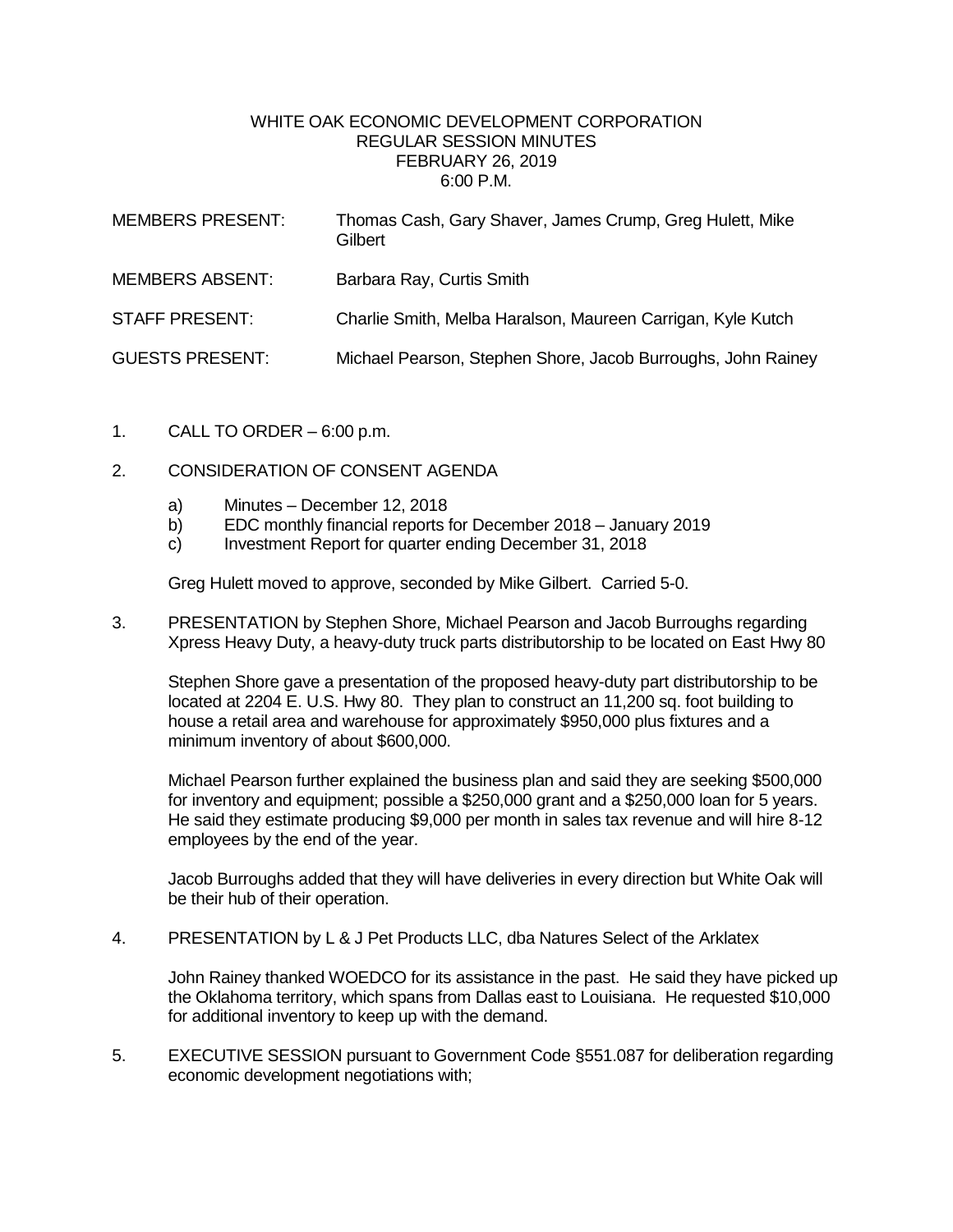## WHITE OAK ECONOMIC DEVELOPMENT CORPORATION REGULAR SESSION MINUTES FEBRUARY 26, 2019 6:00 P.M.

| <b>MEMBERS PRESENT:</b> | Thomas Cash, Gary Shaver, James Crump, Greg Hulett, Mike<br>Gilbert |
|-------------------------|---------------------------------------------------------------------|
| <b>MEMBERS ABSENT:</b>  | Barbara Ray, Curtis Smith                                           |
| <b>STAFF PRESENT:</b>   | Charlie Smith, Melba Haralson, Maureen Carrigan, Kyle Kutch         |
| <b>GUESTS PRESENT:</b>  | Michael Pearson, Stephen Shore, Jacob Burroughs, John Rainey        |

- 1. CALL TO ORDER  $-6:00$  p.m.
- 2. CONSIDERATION OF CONSENT AGENDA
	- a) Minutes December 12, 2018
	- b) EDC monthly financial reports for December 2018 January 2019
	- c) Investment Report for quarter ending December 31, 2018

Greg Hulett moved to approve, seconded by Mike Gilbert. Carried 5-0.

3. PRESENTATION by Stephen Shore, Michael Pearson and Jacob Burroughs regarding Xpress Heavy Duty, a heavy-duty truck parts distributorship to be located on East Hwy 80

Stephen Shore gave a presentation of the proposed heavy-duty part distributorship to be located at 2204 E. U.S. Hwy 80. They plan to construct an 11,200 sq. foot building to house a retail area and warehouse for approximately \$950,000 plus fixtures and a minimum inventory of about \$600,000.

Michael Pearson further explained the business plan and said they are seeking \$500,000 for inventory and equipment; possible a \$250,000 grant and a \$250,000 loan for 5 years. He said they estimate producing \$9,000 per month in sales tax revenue and will hire 8-12 employees by the end of the year.

Jacob Burroughs added that they will have deliveries in every direction but White Oak will be their hub of their operation.

4. PRESENTATION by L & J Pet Products LLC, dba Natures Select of the Arklatex

John Rainey thanked WOEDCO for its assistance in the past. He said they have picked up the Oklahoma territory, which spans from Dallas east to Louisiana. He requested \$10,000 for additional inventory to keep up with the demand.

5. EXECUTIVE SESSION pursuant to Government Code §551.087 for deliberation regarding economic development negotiations with;